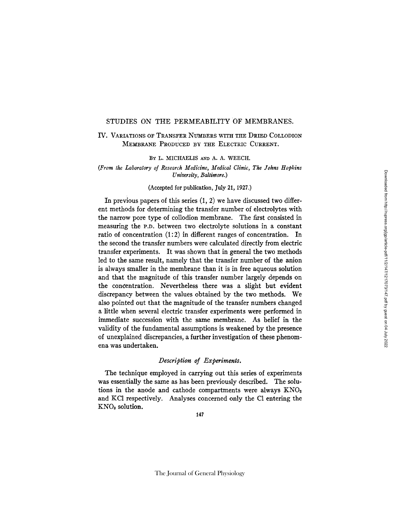### STUDIES ON THE PERMEABILITY OF MEMBRANES.

# IV. VARIATIONS OF TRANSFER NUMBERS WITH THE DRIED COLLODION MEMBRANE PRoDUcED BY THE ELECTRIC CURRENT.

BY L. MICHAELIS AND A. A. WEECH.

*(From the Laboratory of Research Medicine, Medical Clinic, The Johns Hopkins University, Baltimore.)* 

### (Accepted for publication, July 21, 1927.)

In previous papers of this series  $(1, 2)$  we have discussed two different methods for determining the transfer number of electrolytes with the narrow pore type of collodion membrane. The first consisted in measuring the P.D. between two electrolyte solutions in a constant ratio of concentration (1:2) in different ranges of concentration. In the second the transfer numbers were calculated directly from electric transfer experiments. It was shown that in general the two methods led to the same result, namely that the transfer number of the anion is always smaller in the membrane than it is in free aqueous solution and that the magnitude of this transfer number largely depends on the concentration. Nevertheless there was a slight but evident discrepancy between the values obtained by the two methods. We also pointed out that the magnitude of the transfer numbers changed a little when several electric transfer experiments were performed in immediate succession with the same membrane. As belief in the validity of the fundamental assumptions is weakened by the presence of unexplained discrepancies, a further investigation of these phenomena was undertaken.

# *Description of Experiments.*

The technique employed in carrying out this series of experiments was essentially the same as has been previously described. The solutions in the anode and cathode compartments were always  $KNO<sub>3</sub>$ and KCI respectively. Analyses concerned only the C1 entering the KNOa solution.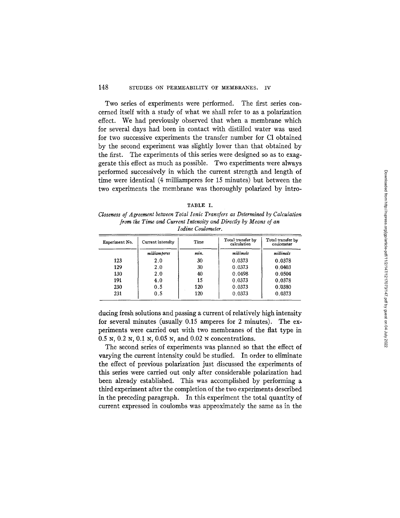Two series of experiments were performed. The first series concerned itself with a study of what we shall refer to as a polarization effect. We had previously observed that when a membrane which for several days had been in contact with distilled water was used for two successive experiments the transfer number for C1 obtained by the second experiment was slightly lower than that obtained by the first. The experiments of this series were designed so as to exaggerate this effect as much as possible. Two experiments were always performed successively in which the current strength and length of time were identical (4 milliamperes for 15 minutes) but between the two experiments the membrane was thoroughly polarized by intro-

| TABLE I.                                                                          |
|-----------------------------------------------------------------------------------|
| Closeness of Agreement between Total Ionic Transfers as Determined by Calculation |
| from the Time and Current Intensity and Directly by Means of an                   |
| <i>Iodine Coulometer.</i>                                                         |

| Experiment No. | Current intensity    | Time | Total transfer by<br>calculation | Total transfer by<br>coulometer |
|----------------|----------------------|------|----------------------------------|---------------------------------|
|                | <i>milliam beres</i> | min. | millimols                        | millimols                       |
| 123            | 2.0                  | 30   | 0.0373                           | 0.0378                          |
| 129            | 2.0                  | 30   | 0.0373                           | 0.0403                          |
| 130            | 2.0                  | 40   | 0.0498                           | 0.0504                          |
| 191            | 4.0                  | 15   | 0.0373                           | 0.0378                          |
| 230            | 0.5                  | 120  | 0.0373                           | 0.0380                          |
| 231            | 0.5                  | 120  | 0.0373                           | 0.0373                          |

ducing fresh solutions and passing a current of relatively high intensity for several minutes (usually 0.15 amperes for 2 minutes). The experiments were carried out with two membranes of the fiat type in 0.5 N, 0.2 N, 0.1 N, 0.05 N, and 0.02 N concentrations.

The second series of experiments was planned so that the effect of varying the current intensity could be studied. In order to eliminate the effect of previous polarization just discussed the experiments of this series were carried out only after considerable polarization had been already established. This was accomplished by performing a third experiment after the completion of the two experiments described in the preceding paragraph. In this experiment the total quantity of current expressed in coulombs was approximately the same as in the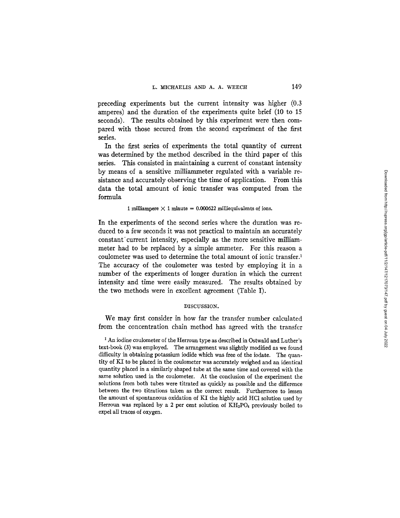preceding experiments but the current intensity was higher (0.3 amperes) and the duration of the experiments quite brief (10 to 15 seconds). The results obtained by this experiment were then compared with those secured from the second experiment of the first series.

In the first series of experiments the total quantity of current was determined by the method described in the third paper of this series. This consisted in maintaining a current of constant intensity by means of a sensitive milliammeter regulated with a variable resistance and accurately observing the time of application. From this data the total amount of ionic transfer was computed from the formula

#### 1 milliampere  $\times$  1 minute = 0.000622 milliequivalents of ions.

In the experiments of the second series where the duration was reduced to a few seconds it was not practical to maintain an accurately constant current intensity, especially as the more sensitive milliammeter had to be replaced by a simple ammeter. For this reason a coulometer was used to determine the total amount of ionic transfer.<sup>1</sup> The accuracy of the coulometer was tested by employing it in a number of the experiments of longer duration in which the current intensity and time were easily measured. The results obtained by the two methods were in excellent agreement (Table I).

# DISCUSSION.

We may first consider in how far the transfer number calculated from the concentration chain method has agreed with the transfer

<sup>1</sup> An iodine coulometer of the Herroun type as described in Ostwald and Luther's text-book (3) was employed. The arrangement was slightly modified as we found difficulty in obtaining potassium iodide which was free of the iodate. The quantity of KI to be placed in the coulometer was accurately weighed and an identical quantity placed in a similarly shaped tube at the same time and covered with the same solution used in the coulometer. At the conclusion of the experiment the solutions from both tubes were titrated as quickly as possible and the difference between the two titrations taken as the correct result. Furthermore to lessen the amount of spontaneous oxidation of KI the highly acid HC1 solution used by Herroun was replaced by a 2 per cent solution of  $KH_2PO_4$  previously boiled to expel all traces of oxygen.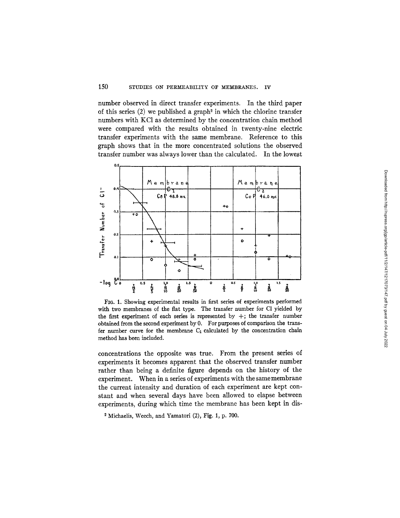number observed in direct transfer experiments. In the third paper of this series  $(2)$  we published a graph<sup>2</sup> in which the chlorine transfer numbers with KC1 as determined by the concentration chain method were compared with the results obtained in twenty-nine electric transfer experiments with the same membrane. Reference to this graph shows that in the more concentrated solutions the observed transfer number was always lower than the calculated. In the lowest



FIG. 1. Showing experimental results in first series of experiments performed with two membranes of the fiat type. The transfer number for CI yielded by the first experiment of each series is represented by  $+$ ; the transfer number obtained from the second experiment by 0. For purposes of comparison the transfer number curve for the membrane  $C_1$  calculated by the concentration chain method has been included.

concentrations the opposite was true. From the present series of experiments it becomes apparent that the observed transfer number rather than being a definite figure depends on the history of the experiment. When in a series of experiments with the samemembrane the current intensity and duration of each experiment are kept constant and when several days have been allowed to elapse between experiments, during which time the membrane has been kept in dis-

<sup>2</sup> Michaelis, Weech, and Yamatori (2), Fig. 1, p. 700.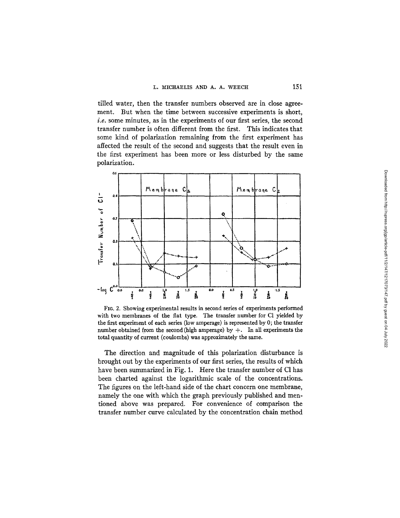tilled water, then the transfer numbers observed are in close agreement. But when the time between successive experiments is short, *i.e.* some minutes, as in the experiments of our first series, the second transfer number is often different from the first. This indicates that some kind of polarization remaining from the first experiment has affected the result of the second and suggests that the result even in the first experiment has been more or less disturbed by the same polarization.



FIG. 2. Showing experimental results in second series of experiments performed with two membranes of the flat type. The transfer number for Cl yielded by the first experiment of each series (low amperage) is represented by 0; the transfer number obtained from the second (high amperage) by  $+$ . In all experiments the total quantity of current (coulombs) was approximately the same.

The direction and magnitude of this polarization disturbance is brought out by the experiments of our first series, the results of which have been summarized in Fig. 1. Here the transfer number of Cl has been charted against the logarithmic scale of the concentrations. The figures on the left-hand side of the chart concern one membrane, namely the one with which the graph previously published and mentioned above was prepared. For convenience of comparison the transfer number curve calculated by the concentration chain method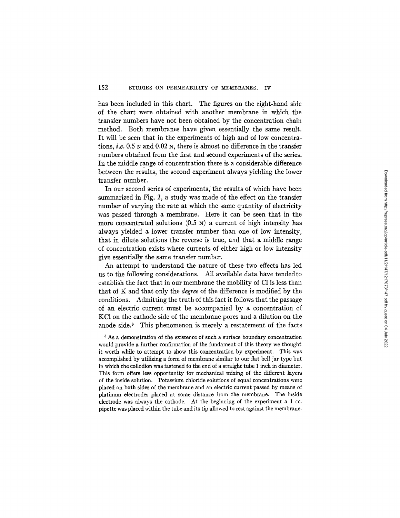has been included in this chart. The figures on the right-hand side of the chart were obtained with another membrane in which the transfer numbers have not been obtained by the concentration chain method. Both membranes have given essentially the same result. It will be seen that in the experiments of high and of low concentrations, *i.e.* 0.5 N and 0.02 N, there is almost no difference in the transfer numbers obtained from the first and second experiments of the series. In the middle range of concentration there is a considerable difference between the results, the second experiment always yielding the lower transfer number.

In our second series of experiments, the results of which have been summarized in Fig. 2, a study was made of the effect on the transfer number of varying the rate at which the same quantity of electricity was passed through a membrane. Here it can be seen that in the more concentrated solutions  $(0.5 \text{ N})$  a current of high intensity has always yielded a lower transfer number than one of low intensity, that in dilute solutions the reverse is true, and that a middle range of concentration exists where currents of either high or low intensity give essentially the same transfer number.

An attempt to understand the nature of these two effects has led us to the following considerations. All available data have tended to establish the fact that in our membrane the mobility of CI is less than that of K and that only the *degree* of the difference is modified by the conditions. Admitting the truth of this fact it follows that the passage of an electric current must be accompanied by a concentration of KC1 on the cathode side of the membrane pores and a dilution on the anode side.<sup>3</sup> This phenomenon is merely a restatement of the facts

<sup>3</sup> As a demonstration of the existence of such a surface boundary concentration would provide a further confirmation of the fundament of this theory we thought it worth while to attempt to show this concentration by experiment. This was accomplished by utilizing a form of membrane similar to our flat bell jar type but in which the collodion was fastened to the end of a straight tube 1 inch in diameter. This form offers less opportunity for mechanical mixing of the different layers of the inside solution. Potassium chloride solutions of equal concentrations were placed on both sides of the membrane and an electric current passed by means of platinum electrodes placed at some distance from the membrane. The inside electrode was always the cathode. At the beginning of the experiment a 1 cc. pipette was placed within the tube and its tip allowed to rest against the membrane.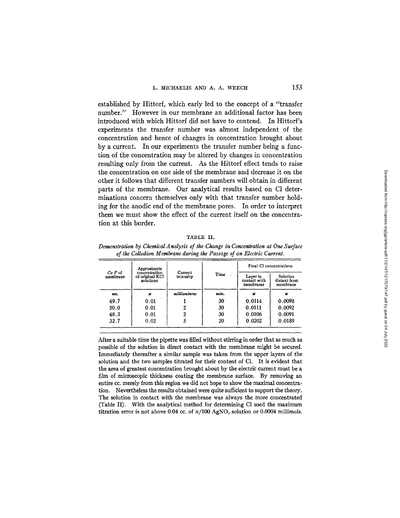established by Hittorf, which early led to the concept of a "transfer number." However in our membrane an additional factor has been introduced with which Hittorf did not have to contend. In Hittorf's experiments the transfer number was almost independent of the concentration and hence of changes in concentration brought about by a current. In our experiments the transfer number being a function of the concentration may be altered by changes in concentration resulting only from the current. As the Hittorf effect tends to raise the concentration on one side of the membrane and decrease it on the other it follows that different transfer numbers will obtain in different parts of the membrane. Our analytical results based on C1 determinations concern themselves only with that transfer number holding for the anodic end of the membrane pores. In order to interpret them we must show the effect of the current itself on the concentration at this border.

| TABLE |  |
|-------|--|
|-------|--|

*Demonstration by Chemical Analysis of the Change in Concentration at One Surface of the Collodion Membrane during the Passage of an Electric Current.* 

|                         | Approximate                                   |                      |      | Final Cl concentrations              |                                      |
|-------------------------|-----------------------------------------------|----------------------|------|--------------------------------------|--------------------------------------|
| $Co\ P\ of$<br>membrane | concentration<br>of original KCl<br>solutions | Current<br>intensity | Time | Layer in<br>contact with<br>membrame | Solution<br>distant from<br>membrane |
| mv.                     | M                                             | milliamberes         | min. | М                                    | И                                    |
| 49.7                    | 0.01                                          |                      | 30   | 0.0114                               | 0.0098                               |
| 50.0                    | 0.01                                          |                      | 30   | 0.0111                               | 0.0092                               |
| 48.3                    | 0.01                                          | 2                    | 30   | 0.0106                               | 0.0091                               |
| 32.7                    | 0.02                                          |                      | 20   | 0.0202                               | 0.0189                               |

After a suitable time the pipette was filled without stirring in order that as much as possible of the solution in direct contact with the membrane might be secured. Immediately thereafter a similar sample was taken from the upper layers of the solution and the two samples titrated for their content of C1. It is evident that the area of greatest concentration brought about by the electric current must be a film of microscopic thickness coating the membrane surface. By removing an entire cc. merely from this region we did not hope to show the maximal concentration. Nevertheless the results obtained were quite sufficient to support the theory. The solution in contact with the membrane was always the more concentrated (Table II). With the analytical method for determining C1 used the maximum titration error is not above 0.04 cc. of  $N/100$  AgNO<sub>3</sub> solution or 0.0004 millimols.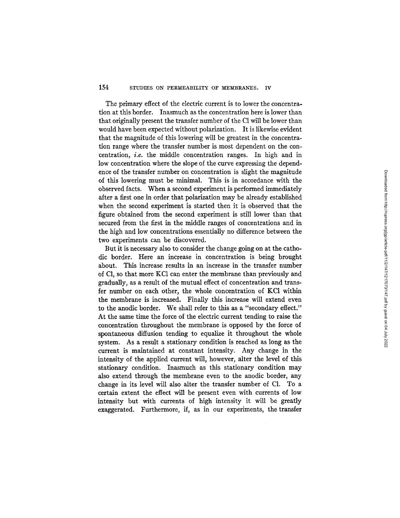# 154 STUDIES ON PERMEABILITY OF MEMBRANES. IV

The primary effect of the electric current is to lower the concentration at this border. Inasmuch as the concentration here is lower than that originally present the transfer number of the C1 will be lower than would have been expected without polarization. It is likewise evident that the magnitude of this lowering will be greatest in the concentration range where the transfer number is most dependent on the concentration, *i.e.* the middle concentration ranges. In high and in low concentration where the slope of the curve expressing the dependence of the transfer number on concentration is slight the magnitude of this lowering must be minimal. This is in accordance with the observed facts. When a second experiment is performed immediately after a first one in order that polarization may be already established when the second experiment is started then it is observed that the figure obtained from the second experiment is still lower than that secured from the first in the middle ranges of concentrations and in the high and low concentrations essentially no difference between the two experiments can be discovered.

But it is necessary also to consider the change going on at the cathodic border. Here an increase in concentration is being brought about. This increase results in an increase in the transfer number of C1, so that more KC1 can enter the membrane than previously and gradually, as a result of the mutual effect of concentration and transfer number on each other, the whole concentration of KC1 within the membrane is increased. Finally this increase will extend even to the anodic border. We shall refer to this as a "secondary effect." At the same time the force of the electric current tending to raise the concentration throughout the membrane is opposed by the force of spontaneous diffusion tending to equalize it throughout the whole system. As a result a stationary condition is reached as long as the current is maintained at constant intensity. Any change in the intensity of the applied current will, however, alter the level of this stationary condition. Inasmuch as this stationary condition may also extend through the membrane even to the anodic border, any change in its level will also alter the transfer number of C1. To a certain extent the effect will be present even with currents of low intensity but with currents of high intensity it will be greatly exaggerated. Furthermore, if, as in our experiments, the transfer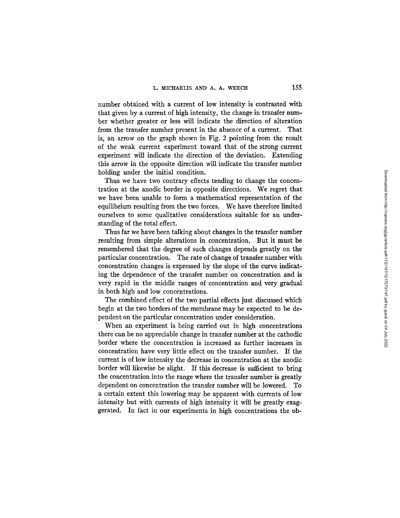number obtained with a current of low intensity is contrasted with that given by a current of high intensity, the change in transfer number whether greater or less will indicate the direction of alteration from the transfer number present in the absence of a current. That is, an arrow on the graph shown in Fig. 2 pointing from the result of the weak current experiment toward that of the strong current experiment will indicate the direction of the deviation. Extending this arrow in the opposite direction will indicate the transfer number holding under the initial condition.

Thus we have two contrary effects tending to change the concentration at the anodic border in opposite directions. We regret that we have been unable to form a mathematical representation of the equilibrium resulting from the two forces. We have therefore limited ourselves to some qualitative considerations suitable for an understanding of the total effect.

Thus far we have been talking about changes in the transfer number resulting from simple alterations in concentration. But it must be remembered that the degree of such changes depends greatly on the particular concentration. The rate of change of transfer number with concentration changes is expressed by the slope of the curve indicating the dependence of the transfer number on concentration and is very rapid in the middle ranges of concentration and very gradual in both high and low concentrations.

The combined effect of the two partial effects just discussed which begin at the two borders of the membrane may be expected to be dependent on the particular concentration under consideration.

When an experiment is being carried out in high concentrations there can be no appreciable change in transfer number at the cathodic border where the concentration is increased as further increases in concentration have very little effect on the transfer number. If the current is of low intensity the decrease in concentration at the anodic border will likewise be slight. If this decrease is sufficient to bring the concentration into the range where the transfer number is greatly dependent on concentration the transfer number will be lowered. To a certain extent this lowering may be apparent with currents of low intensity but with currents of high intensity it will be greatly exaggerated. In fact in our experiments in high concentrations the ob-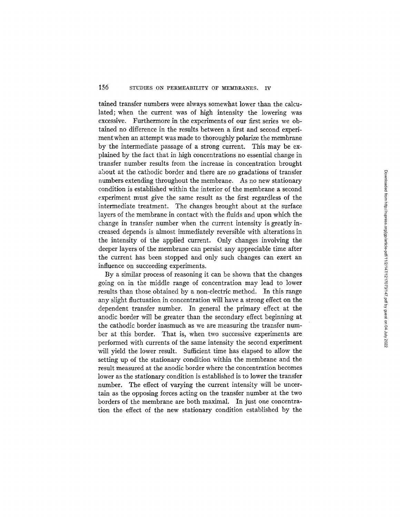tained transfer numbers were always somewhat lower than the calculated; when the current was of high intensity the lowering was excessive. Furthermore in the experiments of our first series we obtained no difference in the results between a first and second experimentwhen an attempt was made to thoroughly polarize the membrane by the intermediate passage of a strong current. This may be explained by the fact that in high concentrations no essential change in transfer number results from the increase in concentration brought about at the cathodic border and there are no gradations of transfer numbers extending throughout the membrane. As no new stationary condition is established within the interior of the membrane a second experiment must give the same result as the first regardless of the intermediate treatment. The changes brought about at the surface layers of the membrane in contact with the fluids and upon which the change in transfer number when the current intensity is greatly increased depends is almost immediately reversible with alterations in the intensity of the applied current. Only changes involving the deeper layers of the membrane can persist any appreciable time after the current has been stopped and only such changes can exert an influence on succeeding experiments.

By a similar process of reasoning it can be shown that the changes going on in the middle range of concentration may lead to lower results than those obtained by a non-electric method. In this range any slight fluctuation in concentration will have a strong effect on the dependent transfer number. In general the primary effect at the anodic border will be greater than the secondary effect beginning at the cathodic border inasmuch as we are measuring the transfer number at this border. That is, when two successive experiments are performed with currents of the same intensity the second experiment will yield the lower result. Sufficient time has elapsed to allow the setting up of the stationary condition within the membrane and the result measured at the anodic border where the concentration becomes lower as the stationary condition is established is to lower the transfer number. The effect of varying the current intensity will be uncertain as the opposing forces acting on the transfer number at the two borders of the membrane are both maximal. In just one concentration the effect of the new stationary condition established by the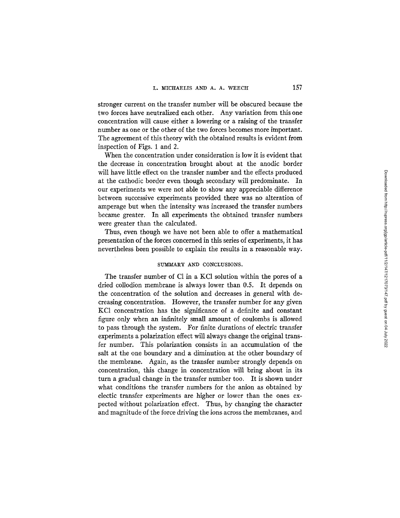stronger current on the transfer number will be obscured because the two forces have neutralized each other. Any variation from this one concentration will cause either a lowering or a raising of the transfer number as one or the other of the two forces becomes more important. The agreement of this theory with the obtained results is evident from inspection of Figs. 1 and 2.

When the concentration under consideration is low it is evident that the decrease in concentration brought about at the anodic border will have little effect on the transfer number and the effects produced at the cathodic border even though secondary will predominate. In our experiments we were not able to show any appreciable difference between successive experiments provided there was no alteration of amperage but when the intensity was increased the transfer numbers became greater. In all experiments the obtained transfer numbers were greater than the calculated.

Thus, even though we have not been able to offer a mathematical presentation of the forces concerned in this series of experiments, it has nevertheless been possible to explain the results in a reasonable way.

### SUMMARY AND CONCLUSIONS.

The transfer number of Cl in a KCl solution within the pores of a dried collodion membrane is always lower than 0.5. It depends on the concentration of the solution and decreases in general with decreasing concentration. However, the transfer number for any given KC1 concentration has the significance of a definite and constant figure only when an infinitely small amount of coulombs is allowed to pass through the system. For finite durations of electric transfer experiments a polarization effect will always change the original transfer number. This polarization consists in an accumulation of the salt at the one boundary and a diminution at the other boundary of the membrane. Again, as the transfer number strongly depends on concentration, this change in concentration will bring about in its turn a gradual change in the transfer number too. It is shown under what conditions the transfer numbers for the anion as obtained by electic transfer experiments are higher or lower than the ones expected without polarization effect. Thus, by changing the character and magnitude of the force driving the ions across the membranes, and